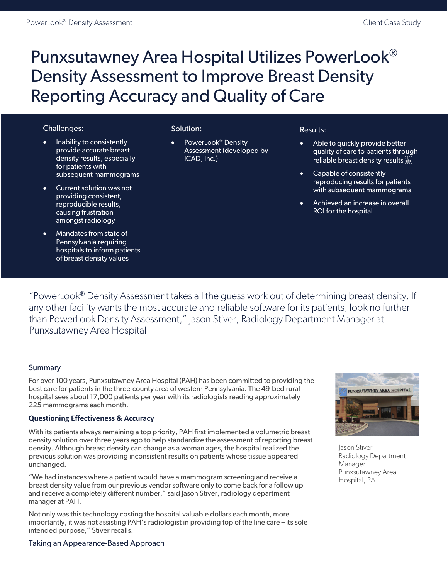# Punxsutawney Area Hospital Utilizes PowerLook® Density Assessment to Improve Breast Density Reporting Accuracy and Quality of Care

## Challenges:

- Inability to consistently provide accurate breast density results, especially for patients with subsequent mammograms
- Current solution was not providing consistent, reproducible results, causing frustration amongst radiology
- Mandates from state of Pennsylvania requiring hospitals to inform patients of breast density values

## Solution:

PowerLook<sup>®</sup> Density Assessment (developed by iCAD, Inc.)

### Results:

- Able to quickly provide better quality of care to patients through reliable breast density results step
- Capable of consistently reproducing results for patients with subsequent mammograms
- Achieved an increase in overall ROI for the hospital

"PowerLook® Density Assessment takes all the guess work out of determining breast density. If any other facility wants the most accurate and reliable software for its patients, look no further than PowerLook Density Assessment," Jason Stiver, Radiology Department Manager at Punxsutawney Area Hospital

### Summary

For over 100 years, Punxsutawney Area Hospital (PAH) has been committed to providing the best care for patients in the three-county area of western Pennsylvania. The 49-bed rural hospital sees about 17,000 patients per year with its radiologists reading approximately 225 mammograms each month.

### **Questioning Effectiveness & Accuracy**

With its patients always remaining a top priority, PAH first implemented a volumetric breast density solution over three years ago to help standardize the assessment of reporting breast density. Although breast density can change as a woman ages, the hospital realized the previous solution was providing inconsistent results on patients whose tissue appeared unchanged.

"We had instances where a patient would have a mammogram screening and receive a breast density value from our previous vendor software only to come back for a follow up and receive a completely different number," said Jason Stiver, radiology department manager at PAH.

Not only was this technology costing the hospital valuable dollars each month, more importantly, it was not assisting PAH's radiologist in providing top of the line care – its sole intended purpose," Stiver recalls.



Jason Stiver Radiology Department Manager Punxsutawney Area Hospital, PA

#### Taking an Appearance-Based Approach